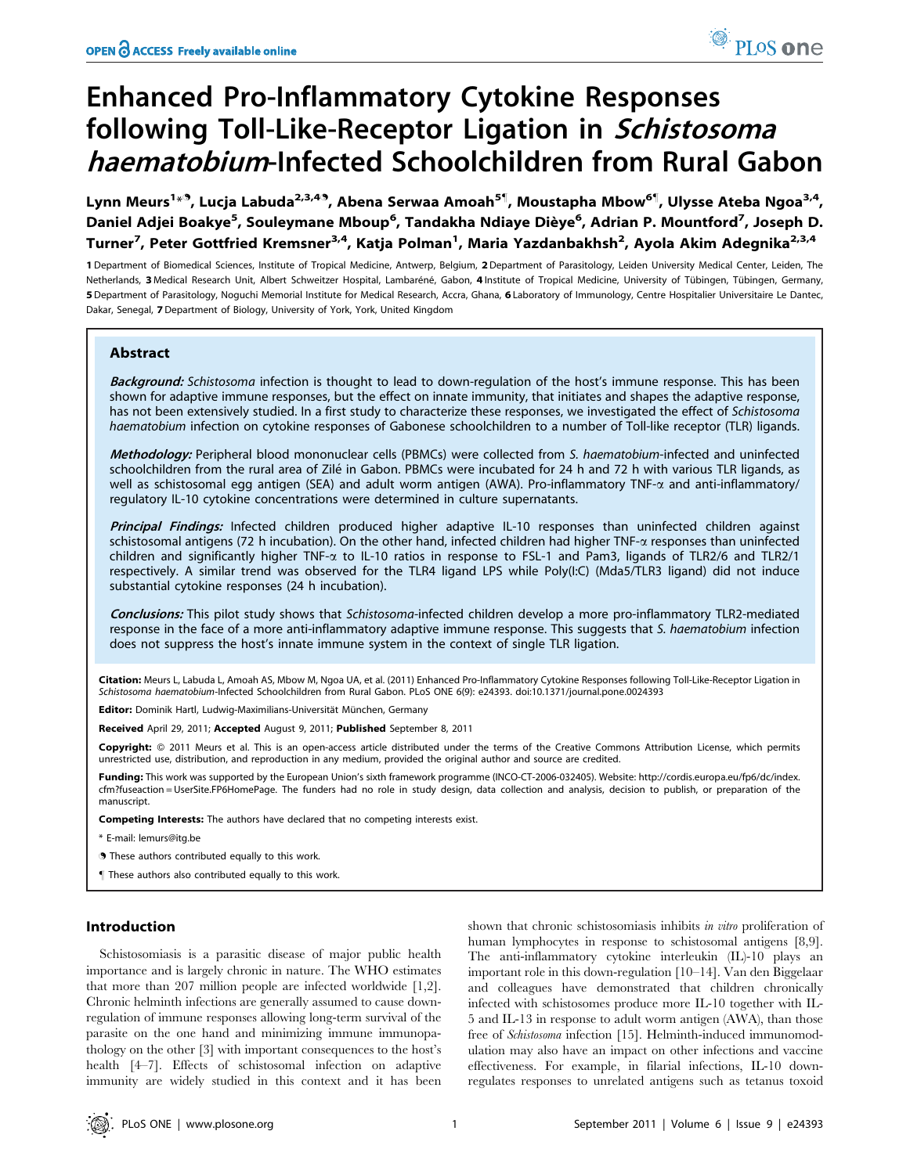# Enhanced Pro-Inflammatory Cytokine Responses following Toll-Like-Receptor Ligation in Schistosoma haematobium-Infected Schoolchildren from Rural Gabon

Lynn Meurs<sup>1</sup>\*<sup>9</sup>, Lucja Labuda<sup>2,3,49</sup>, Abena Serwaa Amoah<sup>5¶</sup>, Moustapha Mbow<sup>6¶</sup>, Ulysse Ateba Ngoa<sup>3,4</sup>, Daniel Adjei Boakye<sup>5</sup>, Souleymane Mboup<sup>6</sup>, Tandakha Ndiaye Dièye<sup>6</sup>, Adrian P. Mountford<sup>7</sup>, Joseph D. Turner<sup>7</sup>, Peter Gottfried Kremsner<sup>3,4</sup>, Katja Polman<sup>1</sup>, Maria Yazdanbakhsh<sup>2</sup>, Ayola Akim Adegnika<sup>2,3,4</sup>

1 Department of Biomedical Sciences, Institute of Tropical Medicine, Antwerp, Belgium, 2Department of Parasitology, Leiden University Medical Center, Leiden, The Netherlands, 3 Medical Research Unit, Albert Schweitzer Hospital, Lambaréné, Gabon, 4 Institute of Tropical Medicine, University of Tübingen, Tübingen, Germany, 5 Department of Parasitology, Noguchi Memorial Institute for Medical Research, Accra, Ghana, 6 Laboratory of Immunology, Centre Hospitalier Universitaire Le Dantec, Dakar, Senegal, 7 Department of Biology, University of York, York, United Kingdom

## Abstract

Background: Schistosoma infection is thought to lead to down-regulation of the host's immune response. This has been shown for adaptive immune responses, but the effect on innate immunity, that initiates and shapes the adaptive response, has not been extensively studied. In a first study to characterize these responses, we investigated the effect of Schistosoma haematobium infection on cytokine responses of Gabonese schoolchildren to a number of Toll-like receptor (TLR) ligands.

Methodology: Peripheral blood mononuclear cells (PBMCs) were collected from S. haematobium-infected and uninfected schoolchildren from the rural area of Zilé in Gabon. PBMCs were incubated for 24 h and 72 h with various TLR ligands, as well as schistosomal egg antigen (SEA) and adult worm antigen (AWA). Pro-inflammatory TNF- $\alpha$  and anti-inflammatory/ regulatory IL-10 cytokine concentrations were determined in culture supernatants.

Principal Findings: Infected children produced higher adaptive IL-10 responses than uninfected children against schistosomal antigens (72 h incubation). On the other hand, infected children had higher TNF- $\alpha$  responses than uninfected children and significantly higher TNF- $\alpha$  to IL-10 ratios in response to FSL-1 and Pam3, ligands of TLR2/6 and TLR2/1 respectively. A similar trend was observed for the TLR4 ligand LPS while Poly(I:C) (Mda5/TLR3 ligand) did not induce substantial cytokine responses (24 h incubation).

Conclusions: This pilot study shows that Schistosoma-infected children develop a more pro-inflammatory TLR2-mediated response in the face of a more anti-inflammatory adaptive immune response. This suggests that S. haematobium infection does not suppress the host's innate immune system in the context of single TLR ligation.

Citation: Meurs L, Labuda L, Amoah AS, Mbow M, Ngoa UA, et al. (2011) Enhanced Pro-Inflammatory Cytokine Responses following Toll-Like-Receptor Ligation in Schistosoma haematobium-Infected Schoolchildren from Rural Gabon. PLoS ONE 6(9): e24393. doi:10.1371/journal.pone.0024393

Editor: Dominik Hartl, Ludwig-Maximilians-Universität München, Germany

Received April 29, 2011; Accepted August 9, 2011; Published September 8, 2011

Copyright: © 2011 Meurs et al. This is an open-access article distributed under the terms of the Creative Commons Attribution License, which permits unrestricted use, distribution, and reproduction in any medium, provided the original author and source are credited.

Funding: This work was supported by the European Union's sixth framework programme (INCO-CT-2006-032405). Website: http://cordis.europa.eu/fp6/dc/index. cfm?fuseaction = UserSite.FP6HomePage. The funders had no role in study design, data collection and analysis, decision to publish, or preparation of the manuscript.

Competing Interests: The authors have declared that no competing interests exist.

\* E-mail: lemurs@itg.be

. These authors contributed equally to this work.

" These authors also contributed equally to this work.

# Introduction

Schistosomiasis is a parasitic disease of major public health importance and is largely chronic in nature. The WHO estimates that more than 207 million people are infected worldwide [1,2]. Chronic helminth infections are generally assumed to cause downregulation of immune responses allowing long-term survival of the parasite on the one hand and minimizing immune immunopathology on the other [3] with important consequences to the host's health [4–7]. Effects of schistosomal infection on adaptive immunity are widely studied in this context and it has been shown that chronic schistosomiasis inhibits in vitro proliferation of human lymphocytes in response to schistosomal antigens [8,9]. The anti-inflammatory cytokine interleukin (IL)-10 plays an important role in this down-regulation [10–14]. Van den Biggelaar and colleagues have demonstrated that children chronically infected with schistosomes produce more IL-10 together with IL-5 and IL-13 in response to adult worm antigen (AWA), than those free of Schistosoma infection [15]. Helminth-induced immunomodulation may also have an impact on other infections and vaccine effectiveness. For example, in filarial infections, IL-10 downregulates responses to unrelated antigens such as tetanus toxoid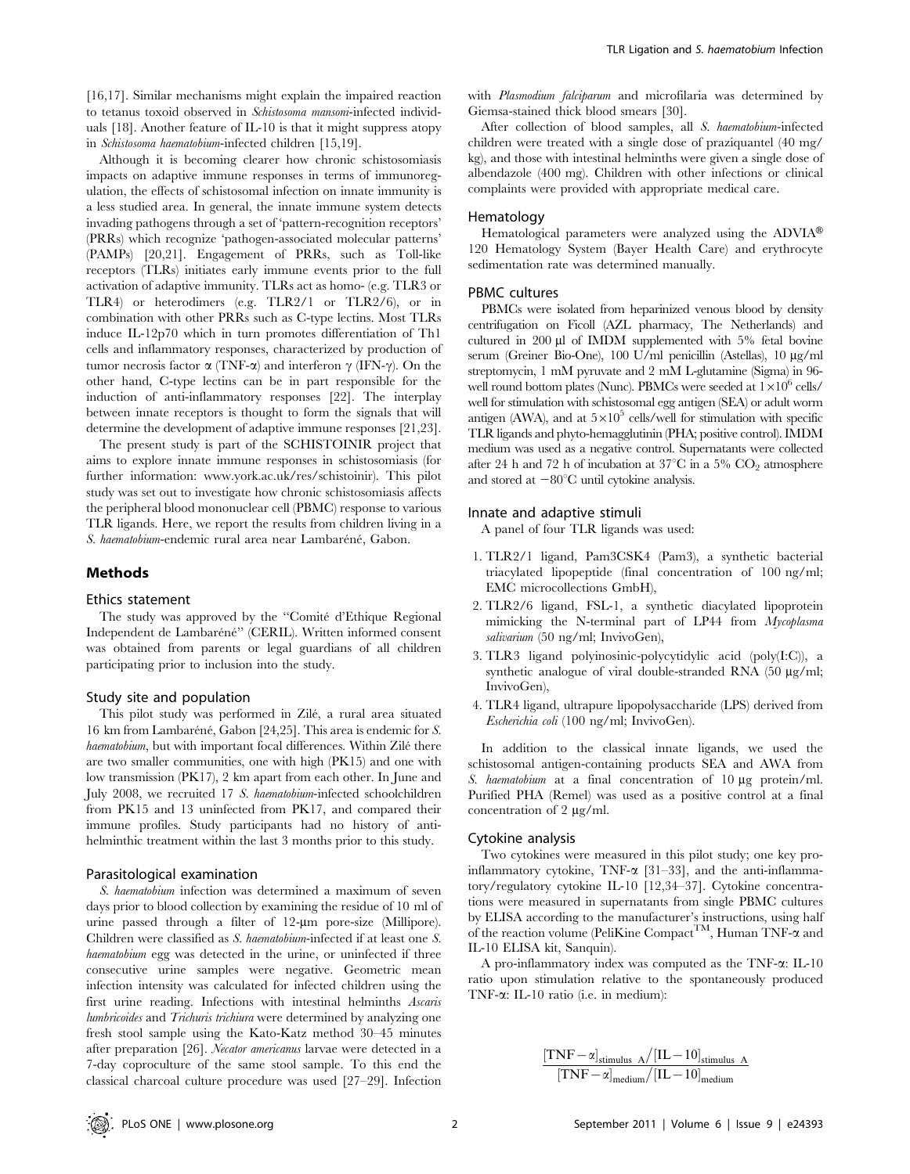[16,17]. Similar mechanisms might explain the impaired reaction to tetanus toxoid observed in Schistosoma mansoni-infected individuals [18]. Another feature of IL-10 is that it might suppress atopy in Schistosoma haematobium-infected children [15,19].

Although it is becoming clearer how chronic schistosomiasis impacts on adaptive immune responses in terms of immunoregulation, the effects of schistosomal infection on innate immunity is a less studied area. In general, the innate immune system detects invading pathogens through a set of 'pattern-recognition receptors' (PRRs) which recognize 'pathogen-associated molecular patterns' (PAMPs) [20,21]. Engagement of PRRs, such as Toll-like receptors (TLRs) initiates early immune events prior to the full activation of adaptive immunity. TLRs act as homo- (e.g. TLR3 or TLR4) or heterodimers (e.g. TLR2/1 or TLR2/6), or in combination with other PRRs such as C-type lectins. Most TLRs induce IL-12p70 which in turn promotes differentiation of Th1 cells and inflammatory responses, characterized by production of tumor necrosis factor  $\alpha$  (TNF- $\alpha$ ) and interferon  $\gamma$  (IFN- $\gamma$ ). On the other hand, C-type lectins can be in part responsible for the induction of anti-inflammatory responses [22]. The interplay between innate receptors is thought to form the signals that will determine the development of adaptive immune responses [21,23].

The present study is part of the SCHISTOINIR project that aims to explore innate immune responses in schistosomiasis (for further information: www.york.ac.uk/res/schistoinir). This pilot study was set out to investigate how chronic schistosomiasis affects the peripheral blood mononuclear cell (PBMC) response to various TLR ligands. Here, we report the results from children living in a S. haematobium-endemic rural area near Lambaréné, Gabon.

## Methods

#### Ethics statement

The study was approved by the "Comité d'Ethique Regional Independent de Lambaréné" (CERIL). Written informed consent was obtained from parents or legal guardians of all children participating prior to inclusion into the study.

#### Study site and population

This pilot study was performed in Zilé, a rural area situated 16 km from Lambaréné, Gabon [24,25]. This area is endemic for S. haematobium, but with important focal differences. Within Zilé there are two smaller communities, one with high (PK15) and one with low transmission (PK17), 2 km apart from each other. In June and July 2008, we recruited 17 S. haematobium-infected schoolchildren from PK15 and 13 uninfected from PK17, and compared their immune profiles. Study participants had no history of antihelminthic treatment within the last 3 months prior to this study.

#### Parasitological examination

S. haematobium infection was determined a maximum of seven days prior to blood collection by examining the residue of 10 ml of urine passed through a filter of 12-um pore-size (Millipore). Children were classified as S. haematobium-infected if at least one S. haematobium egg was detected in the urine, or uninfected if three consecutive urine samples were negative. Geometric mean infection intensity was calculated for infected children using the first urine reading. Infections with intestinal helminths Ascaris lumbricoides and Trichuris trichiura were determined by analyzing one fresh stool sample using the Kato-Katz method 30–45 minutes after preparation [26]. Necator americanus larvae were detected in a 7-day coproculture of the same stool sample. To this end the classical charcoal culture procedure was used [27–29]. Infection

with Plasmodium falciparum and microfilaria was determined by Giemsa-stained thick blood smears [30].

After collection of blood samples, all S. haematobium-infected children were treated with a single dose of praziquantel (40 mg/ kg), and those with intestinal helminths were given a single dose of albendazole (400 mg). Children with other infections or clinical complaints were provided with appropriate medical care.

#### Hematology

Hematological parameters were analyzed using the  $ADVIA^{\circledR}$ 120 Hematology System (Bayer Health Care) and erythrocyte sedimentation rate was determined manually.

#### PBMC cultures

PBMCs were isolated from heparinized venous blood by density centrifugation on Ficoll (AZL pharmacy, The Netherlands) and cultured in  $200 \mu l$  of IMDM supplemented with  $5\%$  fetal bovine serum (Greiner Bio-One), 100 U/ml penicillin (Astellas), 10 µg/ml streptomycin, 1 mM pyruvate and 2 mM L-glutamine (Sigma) in 96 well round bottom plates (Nunc). PBMCs were seeded at  $1\times10^6$  cells/ well for stimulation with schistosomal egg antigen (SEA) or adult worm antigen (AWA), and at  $5\times10^5$  cells/well for stimulation with specific TLR ligands and phyto-hemagglutinin (PHA; positive control). IMDM medium was used as a negative control. Supernatants were collected after 24 h and 72 h of incubation at  $37^{\circ}$ C in a  $5\%$  CO<sub>2</sub> atmosphere and stored at  $-80^{\circ}$ C until cytokine analysis.

#### Innate and adaptive stimuli

A panel of four TLR ligands was used:

- 1. TLR2/1 ligand, Pam3CSK4 (Pam3), a synthetic bacterial triacylated lipopeptide (final concentration of 100 ng/ml; EMC microcollections GmbH),
- 2. TLR2/6 ligand, FSL-1, a synthetic diacylated lipoprotein mimicking the N-terminal part of LP44 from Mycoplasma salivarium (50 ng/ml; InvivoGen),
- 3. TLR3 ligand polyinosinic-polycytidylic acid (poly(I:C)), a synthetic analogue of viral double-stranded RNA  $(50 \mu g/ml)$ ; InvivoGen),
- 4. TLR4 ligand, ultrapure lipopolysaccharide (LPS) derived from Escherichia coli (100 ng/ml; InvivoGen).

In addition to the classical innate ligands, we used the schistosomal antigen-containing products SEA and AWA from S. haematobium at a final concentration of 10  $\mu$ g protein/ml. Purified PHA (Remel) was used as a positive control at a final concentration of 2  $\mu$ g/ml.

#### Cytokine analysis

Two cytokines were measured in this pilot study; one key proinflammatory cytokine, TNF- $\alpha$  [31–33], and the anti-inflammatory/regulatory cytokine IL-10 [12,34–37]. Cytokine concentrations were measured in supernatants from single PBMC cultures by ELISA according to the manufacturer's instructions, using half of the reaction volume (PeliKine Compact<sup>TM</sup>, Human TNF- $\alpha$  and IL-10 ELISA kit, Sanquin).

A pro-inflammatory index was computed as the TNF-a: IL-10 ratio upon stimulation relative to the spontaneously produced TNF-a: IL-10 ratio (i.e. in medium):

$$
\frac{[TNF\!-\!\alpha]_{stimulus\ A}/[IL\!-\!10]_{stimulus\ A}}{[TNF\!-\!\alpha]_{medium}/[IL\!-\!10]_{medium}}
$$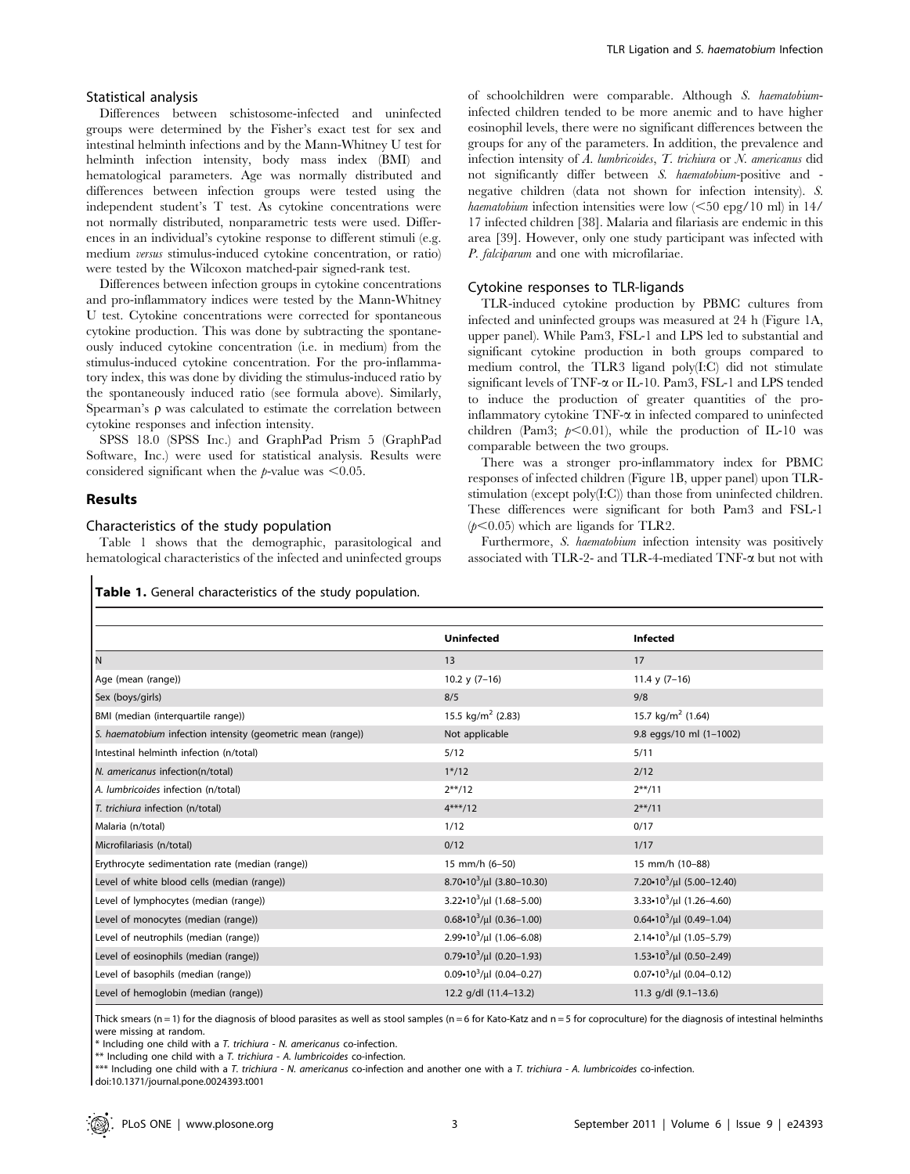## Statistical analysis

Differences between schistosome-infected and uninfected groups were determined by the Fisher's exact test for sex and intestinal helminth infections and by the Mann-Whitney U test for helminth infection intensity, body mass index (BMI) and hematological parameters. Age was normally distributed and differences between infection groups were tested using the independent student's T test. As cytokine concentrations were not normally distributed, nonparametric tests were used. Differences in an individual's cytokine response to different stimuli (e.g. medium versus stimulus-induced cytokine concentration, or ratio) were tested by the Wilcoxon matched-pair signed-rank test.

Differences between infection groups in cytokine concentrations and pro-inflammatory indices were tested by the Mann-Whitney U test. Cytokine concentrations were corrected for spontaneous cytokine production. This was done by subtracting the spontaneously induced cytokine concentration (i.e. in medium) from the stimulus-induced cytokine concentration. For the pro-inflammatory index, this was done by dividing the stimulus-induced ratio by the spontaneously induced ratio (see formula above). Similarly, Spearman's  $\rho$  was calculated to estimate the correlation between cytokine responses and infection intensity.

SPSS 18.0 (SPSS Inc.) and GraphPad Prism 5 (GraphPad Software, Inc.) were used for statistical analysis. Results were considered significant when the  $p$ -value was  $\leq 0.05$ .

## Results

## Characteristics of the study population

Table 1 shows that the demographic, parasitological and hematological characteristics of the infected and uninfected groups TLR Ligation and S. haematobium Infection

of schoolchildren were comparable. Although S. haematobiuminfected children tended to be more anemic and to have higher eosinophil levels, there were no significant differences between the groups for any of the parameters. In addition, the prevalence and infection intensity of A. lumbricoides, T. trichiura or N. americanus did not significantly differ between S. haematobium-positive and negative children (data not shown for infection intensity). S. haematobium infection intensities were low  $(<50 \text{ egy}/10 \text{ ml})$  in 14/ 17 infected children [38]. Malaria and filariasis are endemic in this area [39]. However, only one study participant was infected with P. falciparum and one with microfilariae.

#### Cytokine responses to TLR-ligands

TLR-induced cytokine production by PBMC cultures from infected and uninfected groups was measured at 24 h (Figure 1A, upper panel). While Pam3, FSL-1 and LPS led to substantial and significant cytokine production in both groups compared to medium control, the TLR3 ligand poly(I:C) did not stimulate significant levels of TNF-a or IL-10. Pam3, FSL-1 and LPS tended to induce the production of greater quantities of the proinflammatory cytokine  $TNF-\alpha$  in infected compared to uninfected children (Pam3;  $p<0.01$ ), while the production of IL-10 was comparable between the two groups.

There was a stronger pro-inflammatory index for PBMC responses of infected children (Figure 1B, upper panel) upon TLRstimulation (except poly(I:C)) than those from uninfected children. These differences were significant for both Pam3 and FSL-1  $(p<0.05)$  which are ligands for TLR2.

Furthermore, S. haematobium infection intensity was positively associated with TLR-2- and TLR-4-mediated TNF-a but not with

## Table 1. General characteristics of the study population.

Uninfected **Infected** N  $\sim$  13  $\sim$  17  $\sim$  17  $\sim$  17  $\sim$  17  $\sim$  17  $\sim$  17  $\sim$  17  $\sim$  17  $\sim$  17  $\sim$  17  $\sim$  17  $\sim$  17  $\sim$  17  $\sim$  17  $\sim$  17  $\sim$  17  $\sim$  17  $\sim$  17  $\sim$  17  $\sim$  17  $\sim$  17  $\sim$  17  $\sim$  17  $\sim$  17  $\sim$  17  $\sim$  17  $\sim$ Age (mean (range)) 11.4 y (7–16) 10.2 y (7–16) 10.2 y (7–16) 11.4 y (7–16) Sex (boys/girls) 8/5 9/8 BMI (median (interquartile range)) 15.5 kg/m<sup>2</sup> (2.83) 15.7 kg/m<sup>2</sup> (1.64) S. haematobium infection intensity (geometric mean (range) Not applicable 9.8 eggs/10 ml (1–1002) Intestinal helminth infection (n/total) 5/12 5/11 N. americanus infection(n/total) 1\*/12 2/12 A. lumbricoides infection (n/total) and the control of the control of  $2^{**}/12$  and  $2^{**}/11$   $2^{**}/11$ T. trichiura infection (n/total) 4\*\*\*/12 2\*\*/11 Malaria (n/total) 1/12 0/17 Microfilariasis (n/total) 0/12 1/17 Erythrocyte sedimentation rate (median (range)) 15 mm/h (6–50) 15 mm/h (10–88) Level of white blood cells (median (range))  $8.70 \cdot 10^3/\mu$  (3.80-10.30)  $7.20 \cdot 10^3/\mu$  (5.00-12.40) Level of lymphocytes (median (range)) 3.22 $\cdot$ 10<sup>3</sup>/µl (1.68–5.00) 3.33 $\cdot$ 10 $^3$ /µl (1.26-4.60) Level of monocytes (median (range))  $0.68 \cdot 10^3/\mu$  (0.36-1.00)  $0.64 \cdot 10^3/\mu$  (0.49–1.04) Level of neutrophils (median (range))  $2.99 \cdot 10^3/\mu$ l (1.06–6.08)  $2.14 \cdot 10^3/\mu$ l (1.05–5.79) Level of eosinophils (median (range))  $0.79 \cdot 10^3/\mu$ I (0.20-1.93)  $1.53 \cdot 10^3/\mu$  (0.50–2.49) Level of basophils (median (range))  $0.09 \cdot 10^3/\mu$ l (0.04–0.27)  $0.07 \cdot 10^3/\mu$  (0.04–0.12) Level of hemoglobin (median (range)) 12.2 g/dl (11.4–13.2) 11.3 g/dl (9.1–13.6)

Thick smears (n = 1) for the diagnosis of blood parasites as well as stool samples (n = 6 for Kato-Katz and n = 5 for coproculture) for the diagnosis of intestinal helminths were missing at random.

\* Including one child with a T. trichiura - N. americanus co-infection.

\*\* Including one child with a T. trichiura - A. lumbricoides co-infection.  $**$  Including one child with a T. trichiura - N. americanus co-infection and another one with a T. trichiura - A. lumbricoides co-infection.

doi:10.1371/journal.pone.0024393.t001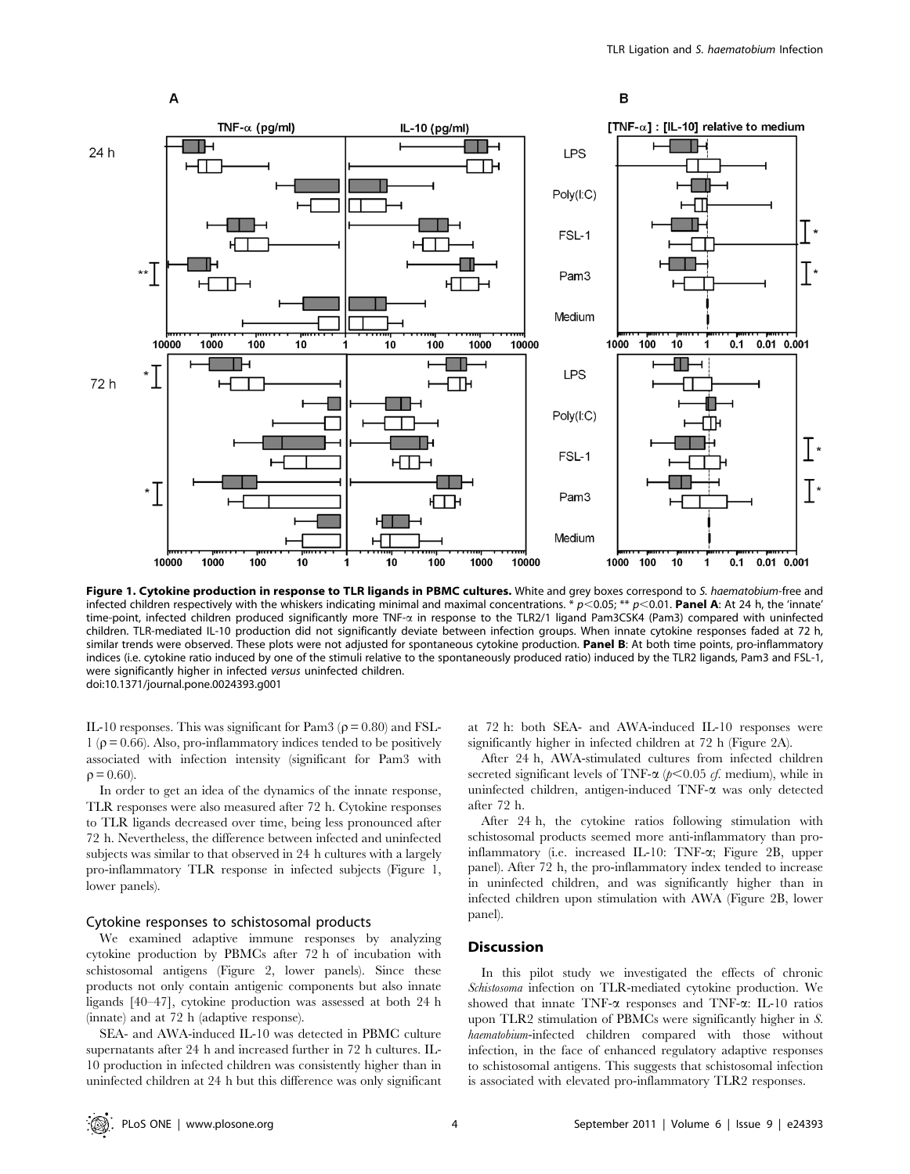

Figure 1. Cytokine production in response to TLR ligands in PBMC cultures. White and grey boxes correspond to S. haematobium-free and infected children respectively with the whiskers indicating minimal and maximal concentrations. \*  $p$  < 0.05; \*\*  $p$  < 0.01. Panel A: At 24 h, the 'innate' time-point, infected children produced significantly more TNF- $\alpha$  in response to the TLR2/1 ligand Pam3CSK4 (Pam3) compared with uninfected children. TLR-mediated IL-10 production did not significantly deviate between infection groups. When innate cytokine responses faded at 72 h, similar trends were observed. These plots were not adjusted for spontaneous cytokine production. Panel B: At both time points, pro-inflammatory indices (i.e. cytokine ratio induced by one of the stimuli relative to the spontaneously produced ratio) induced by the TLR2 ligands, Pam3 and FSL-1, were significantly higher in infected versus uninfected children. doi:10.1371/journal.pone.0024393.g001

IL-10 responses. This was significant for Pam3 ( $\rho$  = 0.80) and FSL- $1 (p = 0.66)$ . Also, pro-inflammatory indices tended to be positively associated with infection intensity (significant for Pam3 with  $\rho = 0.60$ ).

In order to get an idea of the dynamics of the innate response, TLR responses were also measured after 72 h. Cytokine responses to TLR ligands decreased over time, being less pronounced after 72 h. Nevertheless, the difference between infected and uninfected subjects was similar to that observed in 24 h cultures with a largely pro-inflammatory TLR response in infected subjects (Figure 1, lower panels).

#### Cytokine responses to schistosomal products

We examined adaptive immune responses by analyzing cytokine production by PBMCs after 72 h of incubation with schistosomal antigens (Figure 2, lower panels). Since these products not only contain antigenic components but also innate ligands [40–47], cytokine production was assessed at both 24 h (innate) and at 72 h (adaptive response).

SEA- and AWA-induced IL-10 was detected in PBMC culture supernatants after 24 h and increased further in 72 h cultures. IL-10 production in infected children was consistently higher than in uninfected children at 24 h but this difference was only significant

at 72 h: both SEA- and AWA-induced IL-10 responses were significantly higher in infected children at 72 h (Figure 2A).

After 24 h, AWA-stimulated cultures from infected children secreted significant levels of TNF- $\alpha$  ( $p<0.05$  cf. medium), while in uninfected children, antigen-induced TNF-a was only detected after 72 h.

After 24 h, the cytokine ratios following stimulation with schistosomal products seemed more anti-inflammatory than proinflammatory (i.e. increased IL-10: TNF-a; Figure 2B, upper panel). After 72 h, the pro-inflammatory index tended to increase in uninfected children, and was significantly higher than in infected children upon stimulation with AWA (Figure 2B, lower panel).

## **Discussion**

In this pilot study we investigated the effects of chronic Schistosoma infection on TLR-mediated cytokine production. We showed that innate TNF- $\alpha$  responses and TNF- $\alpha$ : IL-10 ratios upon TLR2 stimulation of PBMCs were significantly higher in S. haematobium-infected children compared with those without infection, in the face of enhanced regulatory adaptive responses to schistosomal antigens. This suggests that schistosomal infection is associated with elevated pro-inflammatory TLR2 responses.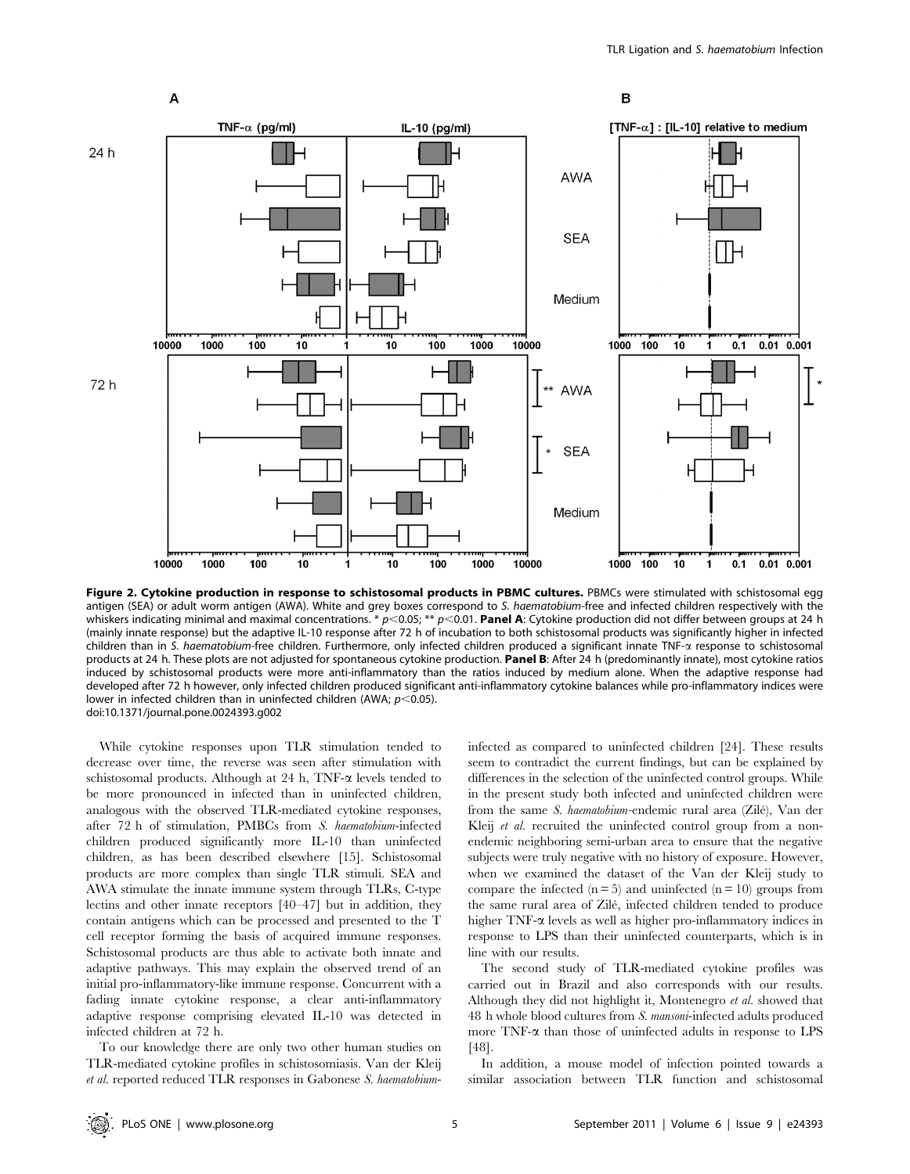

Figure 2. Cytokine production in response to schistosomal products in PBMC cultures. PBMCs were stimulated with schistosomal egg antigen (SEA) or adult worm antigen (AWA). White and grey boxes correspond to S. haematobium-free and infected children respectively with the whiskers indicating minimal and maximal concentrations.  $*\rho$  < 0.05;  $**$  p < 0.01. Panel A: Cytokine production did not differ between groups at 24 h (mainly innate response) but the adaptive IL-10 response after 72 h of incubation to both schistosomal products was significantly higher in infected children than in S. haematobium-free children. Furthermore, only infected children produced a significant innate TNF- $\alpha$  response to schistosomal products at 24 h. These plots are not adjusted for spontaneous cytokine production. Panel B: After 24 h (predominantly innate), most cytokine ratios induced by schistosomal products were more anti-inflammatory than the ratios induced by medium alone. When the adaptive response had developed after 72 h however, only infected children produced significant anti-inflammatory cytokine balances while pro-inflammatory indices were lower in infected children than in uninfected children (AWA;  $p<0.05$ ). doi:10.1371/journal.pone.0024393.g002

While cytokine responses upon TLR stimulation tended to decrease over time, the reverse was seen after stimulation with schistosomal products. Although at 24 h, TNF- $\alpha$  levels tended to be more pronounced in infected than in uninfected children, analogous with the observed TLR-mediated cytokine responses, after 72 h of stimulation, PMBCs from S. haematobium-infected children produced significantly more IL-10 than uninfected children, as has been described elsewhere [15]. Schistosomal products are more complex than single TLR stimuli. SEA and AWA stimulate the innate immune system through TLRs, C-type lectins and other innate receptors [40–47] but in addition, they contain antigens which can be processed and presented to the T cell receptor forming the basis of acquired immune responses. Schistosomal products are thus able to activate both innate and adaptive pathways. This may explain the observed trend of an initial pro-inflammatory-like immune response. Concurrent with a fading innate cytokine response, a clear anti-inflammatory adaptive response comprising elevated IL-10 was detected in infected children at 72 h.

To our knowledge there are only two other human studies on TLR-mediated cytokine profiles in schistosomiasis. Van der Kleij et al. reported reduced TLR responses in Gabonese S. haematobiuminfected as compared to uninfected children [24]. These results seem to contradict the current findings, but can be explained by differences in the selection of the uninfected control groups. While in the present study both infected and uninfected children were from the same S. haematobium-endemic rural area (Zilé), Van der Kleij et al. recruited the uninfected control group from a nonendemic neighboring semi-urban area to ensure that the negative subjects were truly negative with no history of exposure. However, when we examined the dataset of the Van der Kleij study to compare the infected  $(n = 5)$  and uninfected  $(n = 10)$  groups from the same rural area of Zilé, infected children tended to produce higher TNF- $\alpha$  levels as well as higher pro-inflammatory indices in response to LPS than their uninfected counterparts, which is in line with our results.

The second study of TLR-mediated cytokine profiles was carried out in Brazil and also corresponds with our results. Although they did not highlight it, Montenegro et al. showed that 48 h whole blood cultures from S. mansoni-infected adults produced more TNF- $\alpha$  than those of uninfected adults in response to LPS [48].

In addition, a mouse model of infection pointed towards a similar association between TLR function and schistosomal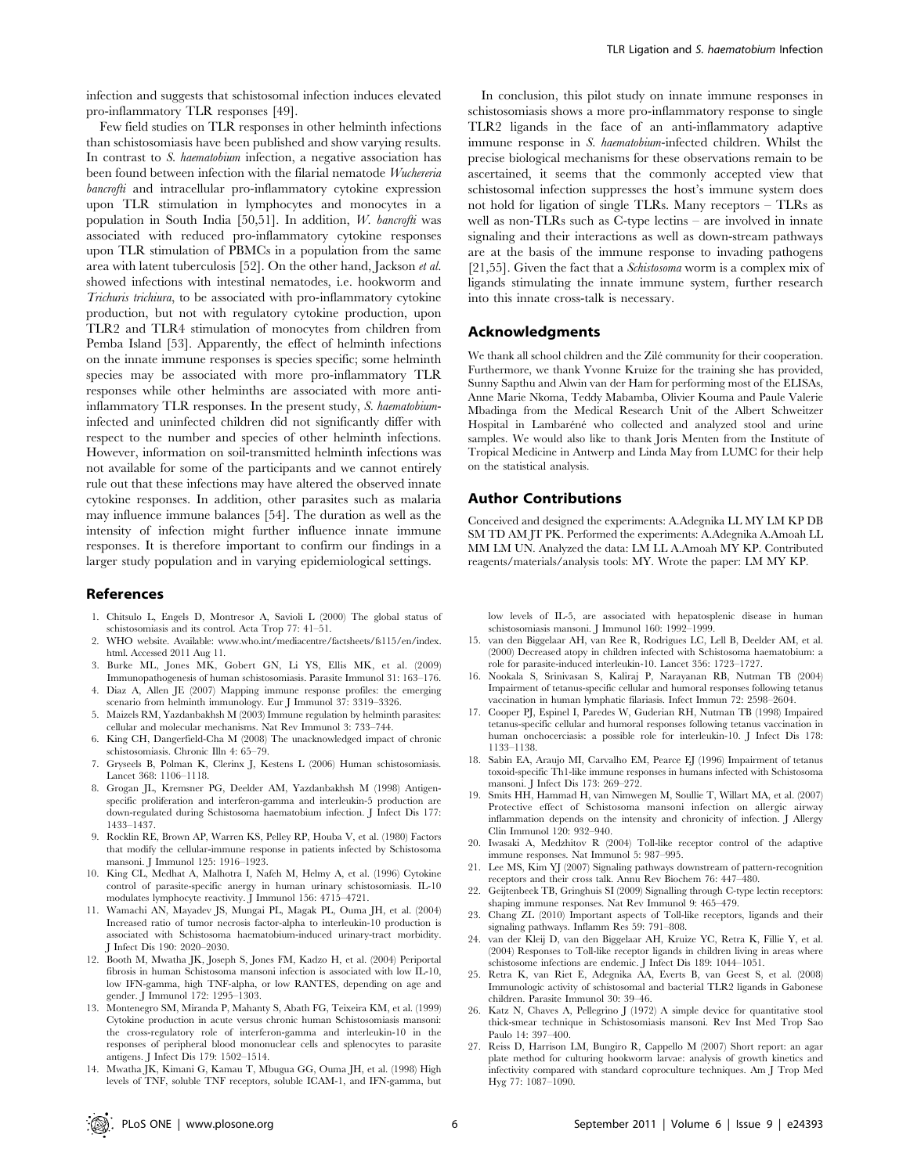infection and suggests that schistosomal infection induces elevated pro-inflammatory TLR responses [49].

Few field studies on TLR responses in other helminth infections than schistosomiasis have been published and show varying results. In contrast to S. haematobium infection, a negative association has been found between infection with the filarial nematode Wuchereria bancrofti and intracellular pro-inflammatory cytokine expression upon TLR stimulation in lymphocytes and monocytes in a population in South India  $[50,51]$ . In addition, W. bancrofti was associated with reduced pro-inflammatory cytokine responses upon TLR stimulation of PBMCs in a population from the same area with latent tuberculosis [52]. On the other hand, Jackson et al. showed infections with intestinal nematodes, i.e. hookworm and Trichuris trichiura, to be associated with pro-inflammatory cytokine production, but not with regulatory cytokine production, upon TLR2 and TLR4 stimulation of monocytes from children from Pemba Island [53]. Apparently, the effect of helminth infections on the innate immune responses is species specific; some helminth species may be associated with more pro-inflammatory TLR responses while other helminths are associated with more antiinflammatory TLR responses. In the present study, S. haematobiuminfected and uninfected children did not significantly differ with respect to the number and species of other helminth infections. However, information on soil-transmitted helminth infections was not available for some of the participants and we cannot entirely rule out that these infections may have altered the observed innate cytokine responses. In addition, other parasites such as malaria may influence immune balances [54]. The duration as well as the intensity of infection might further influence innate immune responses. It is therefore important to confirm our findings in a larger study population and in varying epidemiological settings.

#### References

- 1. Chitsulo L, Engels D, Montresor A, Savioli L (2000) The global status of schistosomiasis and its control. Acta Trop 77: 41–51.
- 2. WHO website. Available: www.who.int/mediacentre/factsheets/fs115/en/index. html. Accessed 2011 Aug 11.
- 3. Burke ML, Jones MK, Gobert GN, Li YS, Ellis MK, et al. (2009) Immunopathogenesis of human schistosomiasis. Parasite Immunol 31: 163–176.
- 4. Diaz A, Allen JE (2007) Mapping immune response profiles: the emerging scenario from helminth immunology. Eur J Immunol 37: 3319–3326.
- 5. Maizels RM, Yazdanbakhsh M (2003) Immune regulation by helminth parasites: cellular and molecular mechanisms. Nat Rev Immunol 3: 733–744.
- 6. King CH, Dangerfield-Cha M (2008) The unacknowledged impact of chronic schistosomiasis. Chronic Illn 4: 65–79.
- 7. Gryseels B, Polman K, Clerinx J, Kestens L (2006) Human schistosomiasis. Lancet 368: 1106–1118.
- 8. Grogan JL, Kremsner PG, Deelder AM, Yazdanbakhsh M (1998) Antigenspecific proliferation and interferon-gamma and interleukin-5 production are down-regulated during Schistosoma haematobium infection. J Infect Dis 177: 1433–1437.
- 9. Rocklin RE, Brown AP, Warren KS, Pelley RP, Houba V, et al. (1980) Factors that modify the cellular-immune response in patients infected by Schistosoma mansoni. J Immunol 125: 1916–1923.
- 10. King CL, Medhat A, Malhotra I, Nafeh M, Helmy A, et al. (1996) Cytokine control of parasite-specific anergy in human urinary schistosomiasis. IL-10 modulates lymphocyte reactivity. J Immunol 156: 4715–4721.
- 11. Wamachi AN, Mayadev JS, Mungai PL, Magak PL, Ouma JH, et al. (2004) Increased ratio of tumor necrosis factor-alpha to interleukin-10 production is associated with Schistosoma haematobium-induced urinary-tract morbidity. J Infect Dis 190: 2020–2030.
- 12. Booth M, Mwatha JK, Joseph S, Jones FM, Kadzo H, et al. (2004) Periportal fibrosis in human Schistosoma mansoni infection is associated with low IL-10, low IFN-gamma, high TNF-alpha, or low RANTES, depending on age and gender. J Immunol 172: 1295–1303.
- 13. Montenegro SM, Miranda P, Mahanty S, Abath FG, Teixeira KM, et al. (1999) Cytokine production in acute versus chronic human Schistosomiasis mansoni: the cross-regulatory role of interferon-gamma and interleukin-10 in the responses of peripheral blood mononuclear cells and splenocytes to parasite antigens. J Infect Dis 179: 1502–1514.
- 14. Mwatha JK, Kimani G, Kamau T, Mbugua GG, Ouma JH, et al. (1998) High levels of TNF, soluble TNF receptors, soluble ICAM-1, and IFN-gamma, but

In conclusion, this pilot study on innate immune responses in schistosomiasis shows a more pro-inflammatory response to single TLR2 ligands in the face of an anti-inflammatory adaptive immune response in S. haematobium-infected children. Whilst the precise biological mechanisms for these observations remain to be ascertained, it seems that the commonly accepted view that schistosomal infection suppresses the host's immune system does not hold for ligation of single TLRs. Many receptors – TLRs as well as non-TLRs such as C-type lectins – are involved in innate signaling and their interactions as well as down-stream pathways are at the basis of the immune response to invading pathogens [21,55]. Given the fact that a *Schistosoma* worm is a complex mix of ligands stimulating the innate immune system, further research into this innate cross-talk is necessary.

## Acknowledgments

We thank all school children and the Zilé community for their cooperation. Furthermore, we thank Yvonne Kruize for the training she has provided, Sunny Sapthu and Alwin van der Ham for performing most of the ELISAs, Anne Marie Nkoma, Teddy Mabamba, Olivier Kouma and Paule Valerie Mbadinga from the Medical Research Unit of the Albert Schweitzer Hospital in Lambaréné who collected and analyzed stool and urine samples. We would also like to thank Joris Menten from the Institute of Tropical Medicine in Antwerp and Linda May from LUMC for their help on the statistical analysis.

#### Author Contributions

Conceived and designed the experiments: A.Adegnika LL MY LM KP DB SM TD AM JT PK. Performed the experiments: A.Adegnika A.Amoah LL MM LM UN. Analyzed the data: LM LL A.Amoah MY KP. Contributed reagents/materials/analysis tools: MY. Wrote the paper: LM MY KP.

low levels of IL-5, are associated with hepatosplenic disease in human schistosomiasis mansoni. J Immunol 160: 1992–1999.

- 15. van den Biggelaar AH, van Ree R, Rodrigues LC, Lell B, Deelder AM, et al. (2000) Decreased atopy in children infected with Schistosoma haematobium: a role for parasite-induced interleukin-10. Lancet 356: 1723–1727.
- 16. Nookala S, Srinivasan S, Kaliraj P, Narayanan RB, Nutman TB (2004) Impairment of tetanus-specific cellular and humoral responses following tetanus vaccination in human lymphatic filariasis. Infect Immun 72: 2598–2604.
- 17. Cooper PJ, Espinel I, Paredes W, Guderian RH, Nutman TB (1998) Impaired tetanus-specific cellular and humoral responses following tetanus vaccination in human onchocerciasis: a possible role for interleukin-10. J Infect Dis 178: 1133–1138.
- 18. Sabin EA, Araujo MI, Carvalho EM, Pearce EJ (1996) Impairment of tetanus toxoid-specific Th1-like immune responses in humans infected with Schistosoma mansoni. J Infect Dis 173: 269–272.
- 19. Smits HH, Hammad H, van Nimwegen M, Soullie T, Willart MA, et al. (2007) Protective effect of Schistosoma mansoni infection on allergic airway inflammation depends on the intensity and chronicity of infection. J Allergy Clin Immunol 120: 932–940.
- 20. Iwasaki A, Medzhitov R (2004) Toll-like receptor control of the adaptive immune responses. Nat Immunol 5: 987–995.
- 21. Lee MS, Kim YJ (2007) Signaling pathways downstream of pattern-recognition receptors and their cross talk. Annu Rev Biochem 76: 447–480.
- 22. Geijtenbeek TB, Gringhuis SI (2009) Signalling through C-type lectin receptors: shaping immune responses. Nat Rev Immunol 9: 465–479.
- 23. Chang ZL (2010) Important aspects of Toll-like receptors, ligands and their signaling pathways. Inflamm Res 59: 791–808.
- 24. van der Kleij D, van den Biggelaar AH, Kruize YC, Retra K, Fillie Y, et al. (2004) Responses to Toll-like receptor ligands in children living in areas where schistosome infections are endemic. J Infect Dis 189: 1044–1051.
- 25. Retra K, van Riet E, Adegnika AA, Everts B, van Geest S, et al. (2008) Immunologic activity of schistosomal and bacterial TLR2 ligands in Gabonese children. Parasite Immunol 30: 39–46.
- 26. Katz N, Chaves A, Pellegrino J (1972) A simple device for quantitative stool thick-smear technique in Schistosomiasis mansoni. Rev Inst Med Trop Sao Paulo 14: 397–400.
- 27. Reiss D, Harrison LM, Bungiro R, Cappello M (2007) Short report: an agar plate method for culturing hookworm larvae: analysis of growth kinetics and infectivity compared with standard coproculture techniques. Am J Trop Med Hyg 77: 1087–1090.